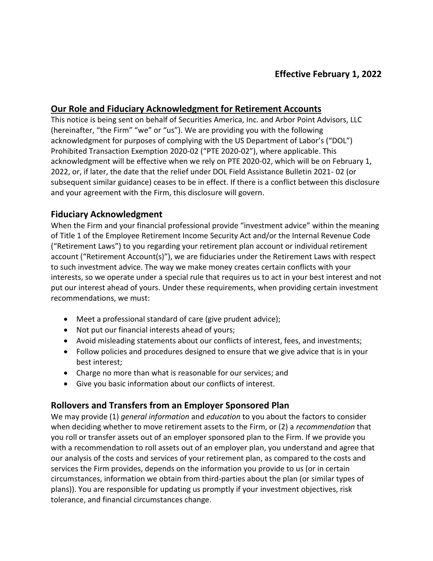### **Our Role and Fiduciary Acknowledgment for Retirement Accounts**

This notice is being sent on behalf of Securities America, Inc. and Arbor Point Advisors, LLC (hereinafter, "the Firm" "we" or "us"). We are providing you with the following acknowledgment for purposes of complying with the US Department of Labor's ("DOL") Prohibited Transaction Exemption 2020-02 ("PTE 2020-02"), where applicable. This acknowledgment will be effective when we rely on PTE 2020-02, which will be on February 1, 2022, or, if later, the date that the relief under DOL Field Assistance Bulletin 2021- 02 (or subsequent similar guidance) ceases to be in effect. If there is a conflict between this disclosure and your agreement with the Firm, this disclosure will govern.

## **Fiduciary Acknowledgment**

When the Firm and your financial professional provide "investment advice" within the meaning of Title 1 of the Employee Retirement Income Security Act and/or the Internal Revenue Code ("Retirement Laws") to you regarding your retirement plan account or individual retirement account ("Retirement Account(s)"), we are fiduciaries under the Retirement Laws with respect to such investment advice. The way we make money creates certain conflicts with your interests, so we operate under a special rule that requires us to act in your best interest and not put our interest ahead of yours. Under these requirements, when providing certain investment recommendations, we must:

- Meet a professional standard of care (give prudent advice);
- Not put our financial interests ahead of yours;
- Avoid misleading statements about our conflicts of interest, fees, and investments;
- Follow policies and procedures designed to ensure that we give advice that is in your best interest;
- Charge no more than what is reasonable for our services; and
- Give you basic information about our conflicts of interest.

# **Rollovers and Transfers from an Employer Sponsored Plan**

We may provide (1) *general information* and *education* to you about the factors to consider when deciding whether to move retirement assets to the Firm, or (2) a *recommendation* that you roll or transfer assets out of an employer sponsored plan to the Firm. If we provide you with a recommendation to roll assets out of an employer plan, you understand and agree that our analysis of the costs and services of your retirement plan, as compared to the costs and services the Firm provides, depends on the information you provide to us (or in certain circumstances, information we obtain from third-parties about the plan (or similar types of plans)). You are responsible for updating us promptly if your investment objectives, risk tolerance, and financial circumstances change.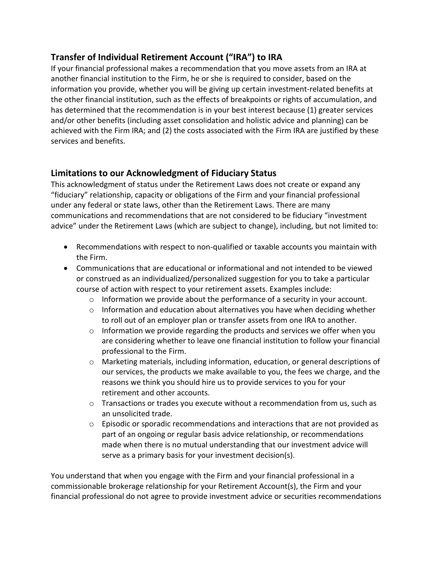# **Transfer of Individual Retirement Account ("IRA") to IRA**

If your financial professional makes a recommendation that you move assets from an IRA at another financial institution to the Firm, he or she is required to consider, based on the information you provide, whether you will be giving up certain investment-related benefits at the other financial institution, such as the effects of breakpoints or rights of accumulation, and has determined that the recommendation is in your best interest because (1) greater services and/or other benefits (including asset consolidation and holistic advice and planning) can be achieved with the Firm IRA; and (2) the costs associated with the Firm IRA are justified by these services and benefits.

# **Limitations to our Acknowledgment of Fiduciary Status**

This acknowledgment of status under the Retirement Laws does not create or expand any "fiduciary" relationship, capacity or obligations of the Firm and your financial professional under any federal or state laws, other than the Retirement Laws. There are many communications and recommendations that are not considered to be fiduciary "investment advice" under the Retirement Laws (which are subject to change), including, but not limited to:

- Recommendations with respect to non-qualified or taxable accounts you maintain with the Firm.
- Communications that are educational or informational and not intended to be viewed or construed as an individualized/personalized suggestion for you to take a particular course of action with respect to your retirement assets. Examples include:
	- o Information we provide about the performance of a security in your account.
	- $\circ$  Information and education about alternatives you have when deciding whether to roll out of an employer plan or transfer assets from one IRA to another.
	- $\circ$  Information we provide regarding the products and services we offer when you are considering whether to leave one financial institution to follow your financial professional to the Firm.
	- o Marketing materials, including information, education, or general descriptions of our services, the products we make available to you, the fees we charge, and the reasons we think you should hire us to provide services to you for your retirement and other accounts.
	- $\circ$  Transactions or trades you execute without a recommendation from us, such as an unsolicited trade.
	- $\circ$  Episodic or sporadic recommendations and interactions that are not provided as part of an ongoing or regular basis advice relationship, or recommendations made when there is no mutual understanding that our investment advice will serve as a primary basis for your investment decision(s).

You understand that when you engage with the Firm and your financial professional in a commissionable brokerage relationship for your Retirement Account(s), the Firm and your financial professional do not agree to provide investment advice or securities recommendations